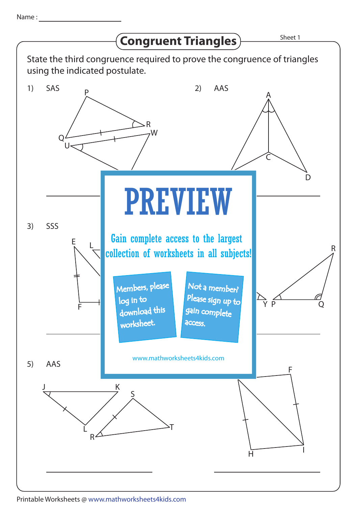